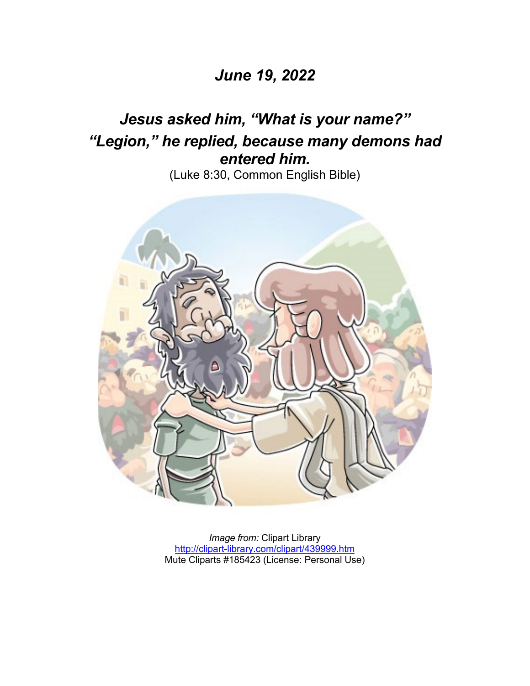# *June 19, 2022*

# *Jesus asked him, "What is your name?" "Legion," he replied, because many demons had entered him.*

(Luke 8:30, Common English Bible)



*Image from:* Clipart Library <http://clipart-library.com/clipart/439999.htm> Mute Cliparts #185423 (License: Personal Use)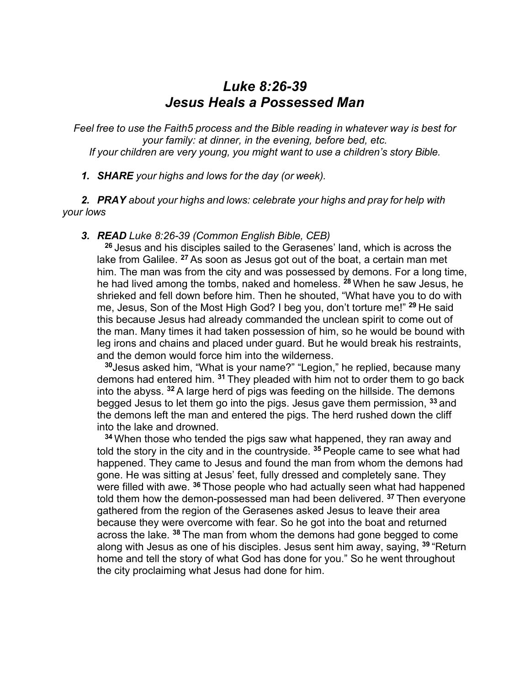## *Luke 8:26-39 Jesus Heals a Possessed Man*

*Feel free to use the Faith5 process and the Bible reading in whatever way is best for your family: at dinner, in the evening, before bed, etc. If your children are very young, you might want to use a children's story Bible.*

*1. SHARE your highs and lows for the day (or week).*

*2. PRAY about your highs and lows: celebrate your highs and pray for help with your lows*

*3. READ Luke 8:26-39 (Common English Bible, CEB)*

**<sup>26</sup>** Jesus and his disciples sailed to the Gerasenes' land, which is across the lake from Galilee. **<sup>27</sup>** As soon as Jesus got out of the boat, a certain man met him. The man was from the city and was possessed by demons. For a long time, he had lived among the tombs, naked and homeless. **<sup>28</sup>** When he saw Jesus, he shrieked and fell down before him. Then he shouted, "What have you to do with me, Jesus, Son of the Most High God? I beg you, don't torture me!" **<sup>29</sup>** He said this because Jesus had already commanded the unclean spirit to come out of the man. Many times it had taken possession of him, so he would be bound with leg irons and chains and placed under guard. But he would break his restraints, and the demon would force him into the wilderness.

**<sup>30</sup>**Jesus asked him, "What is your name?" "Legion," he replied, because many demons had entered him. **<sup>31</sup>** They pleaded with him not to order them to go back into the abyss. **<sup>32</sup>** A large herd of pigs was feeding on the hillside. The demons begged Jesus to let them go into the pigs. Jesus gave them permission, **<sup>33</sup>** and the demons left the man and entered the pigs. The herd rushed down the cliff into the lake and drowned.

**<sup>34</sup>** When those who tended the pigs saw what happened, they ran away and told the story in the city and in the countryside. **<sup>35</sup>** People came to see what had happened. They came to Jesus and found the man from whom the demons had gone. He was sitting at Jesus' feet, fully dressed and completely sane. They were filled with awe. **<sup>36</sup>** Those people who had actually seen what had happened told them how the demon-possessed man had been delivered. **<sup>37</sup>** Then everyone gathered from the region of the Gerasenes asked Jesus to leave their area because they were overcome with fear. So he got into the boat and returned across the lake. **<sup>38</sup>** The man from whom the demons had gone begged to come along with Jesus as one of his disciples. Jesus sent him away, saying, **<sup>39</sup>** "Return home and tell the story of what God has done for you." So he went throughout the city proclaiming what Jesus had done for him.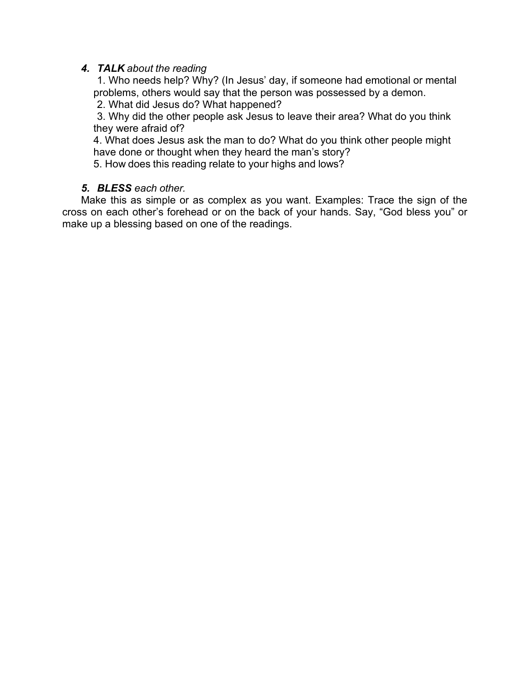#### *4. TALK about the reading*

1. Who needs help? Why? (In Jesus' day, if someone had emotional or mental problems, others would say that the person was possessed by a demon.

2. What did Jesus do? What happened?

3. Why did the other people ask Jesus to leave their area? What do you think they were afraid of?

4. What does Jesus ask the man to do? What do you think other people might have done or thought when they heard the man's story?

5. How does this reading relate to your highs and lows?

#### *5. BLESS each other.*

Make this as simple or as complex as you want. Examples: Trace the sign of the cross on each other's forehead or on the back of your hands. Say, "God bless you" or make up a blessing based on one of the readings.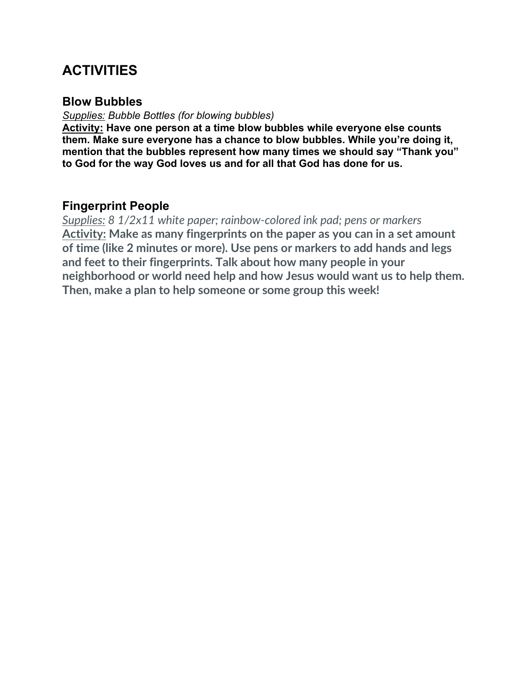## **ACTIVITIES**

#### **Blow Bubbles**

*Supplies: Bubble Bottles (for blowing bubbles)*

**Activity: Have one person at a time blow bubbles while everyone else counts them. Make sure everyone has a chance to blow bubbles. While you're doing it, mention that the bubbles represent how many times we should say "Thank you" to God for the way God loves us and for all that God has done for us.**

### **Fingerprint People**

*Supplies: 8 1/2x11 white paper; rainbow-colored ink pad; pens or markers* **Activity: Make as many fingerprints on the paper as you can in a set amount of time (like 2 minutes or more). Use pens or markers to add hands and legs and feet to their fingerprints. Talk about how many people in your neighborhood or world need help and how Jesus would want us to help them. Then, make a plan to help someone or some group this week!**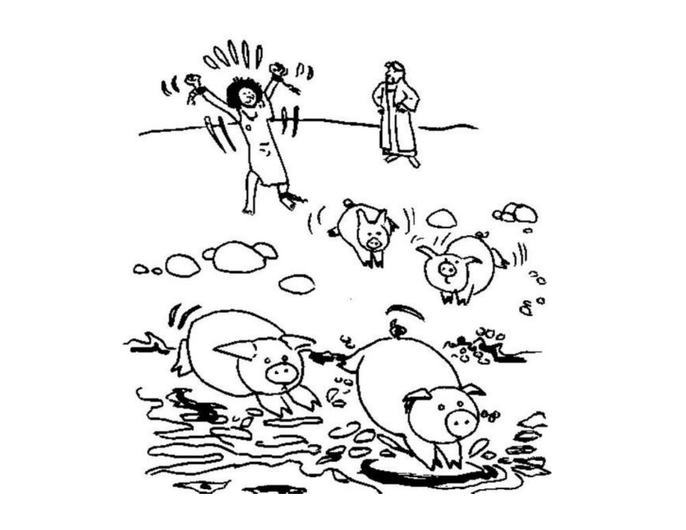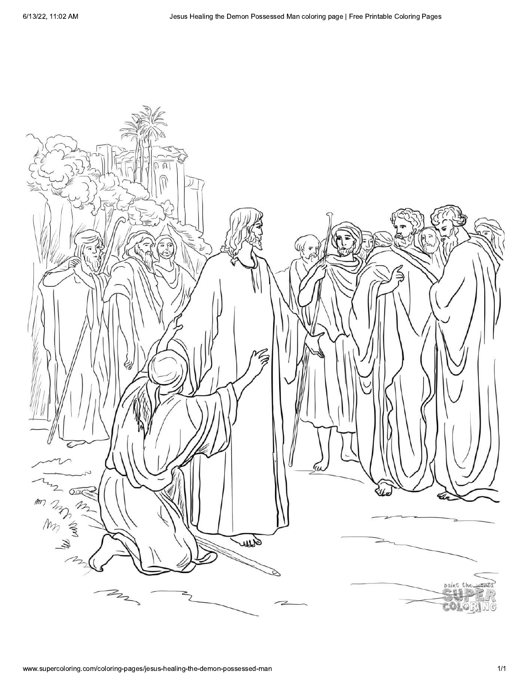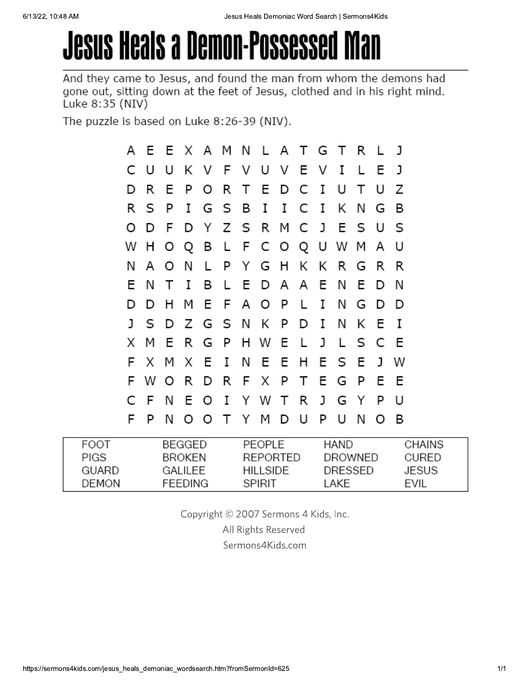# **Jesus Heals a Demon-Possessed Man**

And they came to Jesus, and found the man from whom the demons had gone out, sitting down at the feet of Jesus, clothed and in his right mind. Luke 8:35 (NIV)

The puzzle is based on Luke 8:26-39 (NIV).

|     |  |  | A E E X A M N L A T G T R L J |  |  |  |   |
|-----|--|--|-------------------------------|--|--|--|---|
| C U |  |  | U K V F V U V E V I L E J     |  |  |  |   |
| D R |  |  | E P O R T E D C I U T U Z     |  |  |  |   |
|     |  |  | R S P I G S B I I C I K N G B |  |  |  |   |
|     |  |  | O D F D Y Z S R M C J E S U S |  |  |  |   |
|     |  |  | W H O Q B L F C O Q U W M A U |  |  |  |   |
|     |  |  | N A O N L P Y G H K K R G R   |  |  |  | R |
|     |  |  | E N T I B L E D A A E N E D N |  |  |  |   |
|     |  |  | D D H M E F A O P L I N G D D |  |  |  |   |
|     |  |  | J S D Z G S N K P D I N K E   |  |  |  | I |
|     |  |  | X M E R G P H W E L J L S C E |  |  |  |   |
|     |  |  | F X M X E I N E E H E S E J W |  |  |  |   |
|     |  |  | F W O R D R F X P T E G P E E |  |  |  |   |
| C F |  |  | N E O I Y W T R J G Y P U     |  |  |  |   |
| F P |  |  | N O O T Y M D U P U N O B     |  |  |  |   |

| <b>FOOT</b>  | <b>BEGGED</b> | PFOPLE          | HAND.          | <b>CHAINS</b> |
|--------------|---------------|-----------------|----------------|---------------|
| <b>PIGS</b>  | <b>BROKEN</b> | <b>REPORTED</b> | <b>DROWNED</b> | CURED         |
| GUARD.       | GALILEE.      | HILL SIDE.      | DRESSED        | JESUS         |
| <b>DEMON</b> | FFFDING       | SPIRIT          | I AKF          | <b>FVII</b>   |

Copyright © 2007 Sermons 4 Kids, Inc. All Rights Reserved Sermons4Kids.com